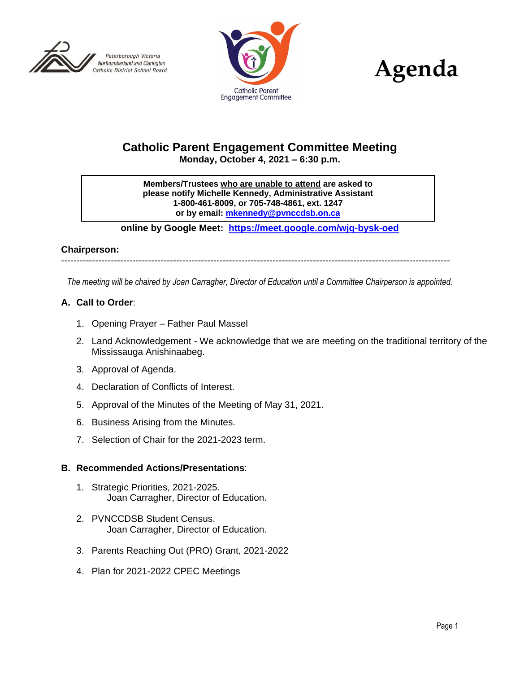





# **Catholic Parent Engagement Committee Meeting Monday, October 4, 2021 – 6:30 p.m.**

**Members/Trustees who are unable to attend are asked to please notify Michelle Kennedy, Administrative Assistant 1-800-461-8009, or 705-748-4861, ext. 1247 or by email: [mkennedy@pvnccdsb.on.ca](mailto:mkennedy@pvnccdsb.on.ca)**

**online by Google Meet: <https://meet.google.com/wjq-bysk-oed>**

#### **Chairperson:**

-----------------------------------------------------------------------------------------------------------------------------

*The meeting will be chaired by Joan Carragher, Director of Education until a Committee Chairperson is appointed.*

#### **A. Call to Order**:

- 1. Opening Prayer Father Paul Massel
- 2. Land Acknowledgement We acknowledge that we are meeting on the traditional territory of the Mississauga Anishinaabeg.
- 3. Approval of Agenda.
- 4. Declaration of Conflicts of Interest.
- 5. Approval of the Minutes of the Meeting of May 31, 2021.
- 6. Business Arising from the Minutes.
- 7. Selection of Chair for the 2021-2023 term.

#### **B. Recommended Actions/Presentations**:

- 1. Strategic Priorities, 2021-2025. Joan Carragher, Director of Education.
- 2. PVNCCDSB Student Census. Joan Carragher, Director of Education.
- 3. Parents Reaching Out (PRO) Grant, 2021-2022
- 4. Plan for 2021-2022 CPEC Meetings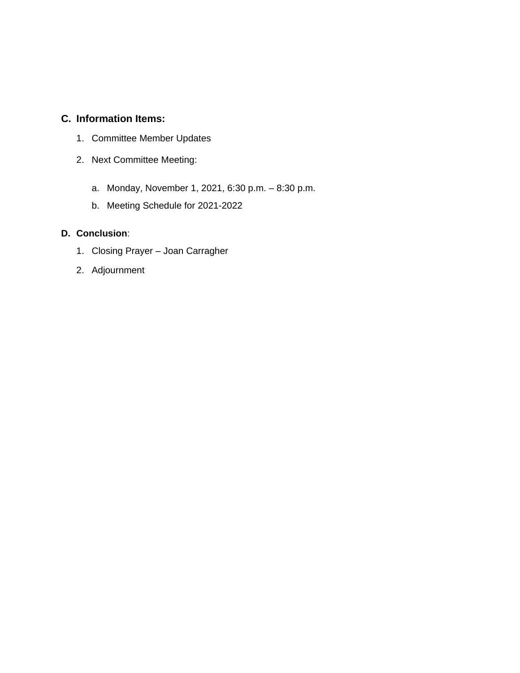# **C. Information Items:**

- 1. Committee Member Updates
- 2. Next Committee Meeting:
	- a. Monday, November 1, 2021, 6:30 p.m. 8:30 p.m.
	- b. Meeting Schedule for 2021-2022

# **D. Conclusion**:

- 1. Closing Prayer Joan Carragher
- 2. Adjournment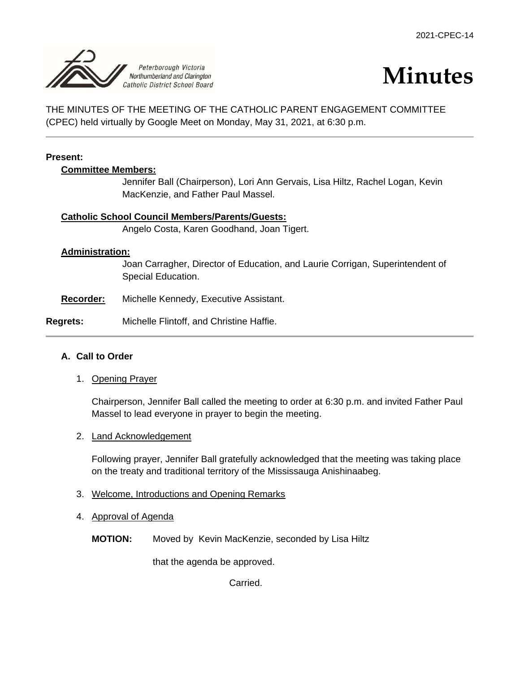

# **Minutes**

THE MINUTES OF THE MEETING OF THE CATHOLIC PARENT ENGAGEMENT COMMITTEE (CPEC) held virtually by Google Meet on Monday, May 31, 2021, at 6:30 p.m.

#### **Present:**

#### **Committee Members:**

Jennifer Ball (Chairperson), Lori Ann Gervais, Lisa Hiltz, Rachel Logan, Kevin MacKenzie, and Father Paul Massel.

#### **Catholic School Council Members/Parents/Guests:**

Angelo Costa, Karen Goodhand, Joan Tigert.

#### **Administration:**

Joan Carragher, Director of Education, and Laurie Corrigan, Superintendent of Special Education.

**Recorder:** Michelle Kennedy, Executive Assistant.

#### **Regrets:** Michelle Flintoff, and Christine Haffie.

#### **A. Call to Order**

1. Opening Prayer

Chairperson, Jennifer Ball called the meeting to order at 6:30 p.m. and invited Father Paul Massel to lead everyone in prayer to begin the meeting.

2. Land Acknowledgement

Following prayer, Jennifer Ball gratefully acknowledged that the meeting was taking place on the treaty and traditional territory of the Mississauga Anishinaabeg.

- 3. Welcome, Introductions and Opening Remarks
- 4. Approval of Agenda

**MOTION:** Moved by Kevin MacKenzie, seconded by Lisa Hiltz

that the agenda be approved.

Carried.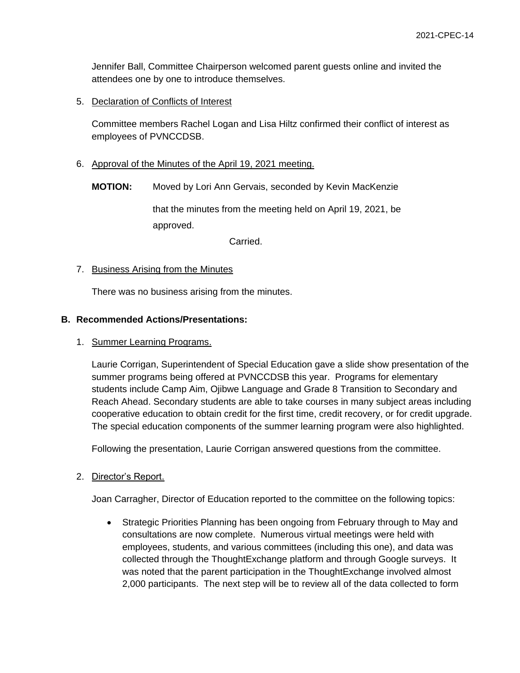Jennifer Ball, Committee Chairperson welcomed parent guests online and invited the attendees one by one to introduce themselves.

5. Declaration of Conflicts of Interest

Committee members Rachel Logan and Lisa Hiltz confirmed their conflict of interest as employees of PVNCCDSB.

6. Approval of the Minutes of the April 19, 2021 meeting.

**MOTION:** Moved by Lori Ann Gervais, seconded by Kevin MacKenzie

that the minutes from the meeting held on April 19, 2021, be approved.

Carried.

#### 7. Business Arising from the Minutes

There was no business arising from the minutes.

#### **B. Recommended Actions/Presentations:**

#### 1. Summer Learning Programs.

Laurie Corrigan, Superintendent of Special Education gave a slide show presentation of the summer programs being offered at PVNCCDSB this year. Programs for elementary students include Camp Aim, Ojibwe Language and Grade 8 Transition to Secondary and Reach Ahead. Secondary students are able to take courses in many subject areas including cooperative education to obtain credit for the first time, credit recovery, or for credit upgrade. The special education components of the summer learning program were also highlighted.

Following the presentation, Laurie Corrigan answered questions from the committee.

#### 2. Director's Report.

Joan Carragher, Director of Education reported to the committee on the following topics:

 Strategic Priorities Planning has been ongoing from February through to May and consultations are now complete. Numerous virtual meetings were held with employees, students, and various committees (including this one), and data was collected through the ThoughtExchange platform and through Google surveys. It was noted that the parent participation in the ThoughtExchange involved almost 2,000 participants. The next step will be to review all of the data collected to form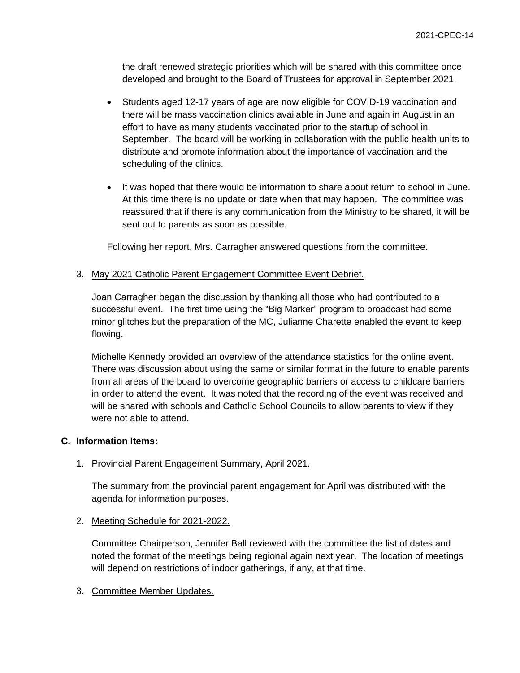the draft renewed strategic priorities which will be shared with this committee once developed and brought to the Board of Trustees for approval in September 2021.

- Students aged 12-17 years of age are now eligible for COVID-19 vaccination and there will be mass vaccination clinics available in June and again in August in an effort to have as many students vaccinated prior to the startup of school in September. The board will be working in collaboration with the public health units to distribute and promote information about the importance of vaccination and the scheduling of the clinics.
- It was hoped that there would be information to share about return to school in June. At this time there is no update or date when that may happen. The committee was reassured that if there is any communication from the Ministry to be shared, it will be sent out to parents as soon as possible.

Following her report, Mrs. Carragher answered questions from the committee.

#### 3. May 2021 Catholic Parent Engagement Committee Event Debrief.

Joan Carragher began the discussion by thanking all those who had contributed to a successful event. The first time using the "Big Marker" program to broadcast had some minor glitches but the preparation of the MC, Julianne Charette enabled the event to keep flowing.

Michelle Kennedy provided an overview of the attendance statistics for the online event. There was discussion about using the same or similar format in the future to enable parents from all areas of the board to overcome geographic barriers or access to childcare barriers in order to attend the event. It was noted that the recording of the event was received and will be shared with schools and Catholic School Councils to allow parents to view if they were not able to attend.

#### **C. Information Items:**

#### 1. Provincial Parent Engagement Summary, April 2021.

The summary from the provincial parent engagement for April was distributed with the agenda for information purposes.

#### 2. Meeting Schedule for 2021-2022.

Committee Chairperson, Jennifer Ball reviewed with the committee the list of dates and noted the format of the meetings being regional again next year. The location of meetings will depend on restrictions of indoor gatherings, if any, at that time.

#### 3. Committee Member Updates.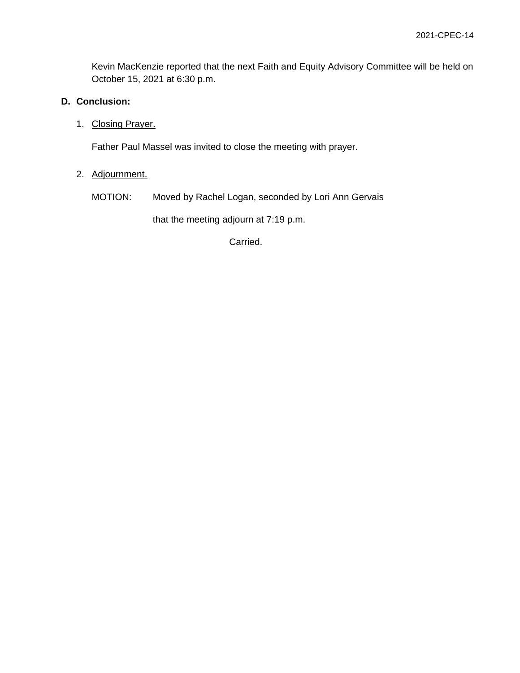Kevin MacKenzie reported that the next Faith and Equity Advisory Committee will be held on October 15, 2021 at 6:30 p.m.

## **D. Conclusion:**

1. Closing Prayer.

Father Paul Massel was invited to close the meeting with prayer.

# 2. Adjournment.

MOTION: Moved by Rachel Logan, seconded by Lori Ann Gervais

that the meeting adjourn at 7:19 p.m.

Carried.